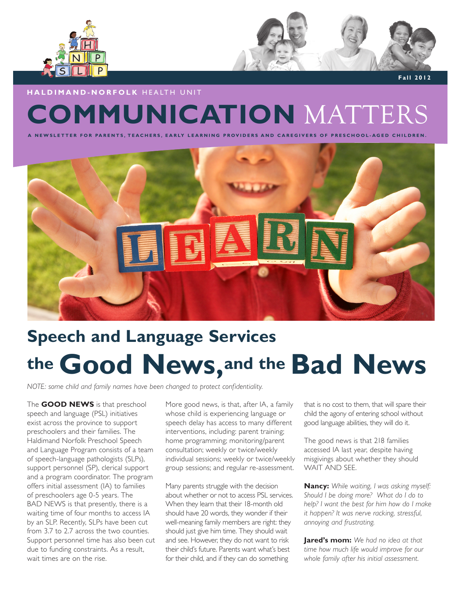



 **Fall 2012**

## **COMMUNICATION** MATTERS **HALDIMAND-NORFOLK** HEALTH UNIT

**A N E R A R E G A REGIVERS OF PRESCHOOL-AGED CHILDREN.** 



# **Speech and Language Services the Good News,and the Bad News**

*NOTE: some child and family names have been changed to protect confidentiality.*

The **GOOD NEWS** is that preschool speech and language (PSL) initiatives exist across the province to support preschoolers and their families. The Haldimand Norfolk Preschool Speech and Language Program consists of a team of speech-language pathologists (SLPs), support personnel (SP), clerical support and a program coordinator. The program offers initial assessment (IA) to families of preschoolers age 0-5 years. The BAD NEWS is that presently, there is a waiting time of four months to access IA by an SLP. Recently, SLPs have been cut from 3.7 to 2.7 across the two counties. Support personnel time has also been cut due to funding constraints. As a result, wait times are on the rise.

More good news, is that, after IA, a family whose child is experiencing language or speech delay has access to many different interventions, including: parent training; home programming; monitoring/parent consultation; weekly or twice/weekly individual sessions; weekly or twice/weekly group sessions; and regular re-assessment.

Many parents struggle with the decision about whether or not to access PSL services. When they learn that their 18-month old should have 20 words, they wonder if their well-meaning family members are right: they should just give him time. They should wait and see. However, they do not want to risk their child's future. Parents want what's best for their child, and if they can do something

that is no cost to them, that will spare their child the agony of entering school without good language abilities, they will do it.

The good news is that 218 families accessed IA last year, despite having misgivings about whether they should WAIT AND SEE.

**Nancy:** *While waiting, I was asking myself: Should I be doing more? What do I do to help? I want the best for him how do I make it happen? It was nerve racking, stressful, annoying and frustrating.*

**Jared's mom:** *We had no idea at that time how much life would improve for our whole family after his initial assessment.*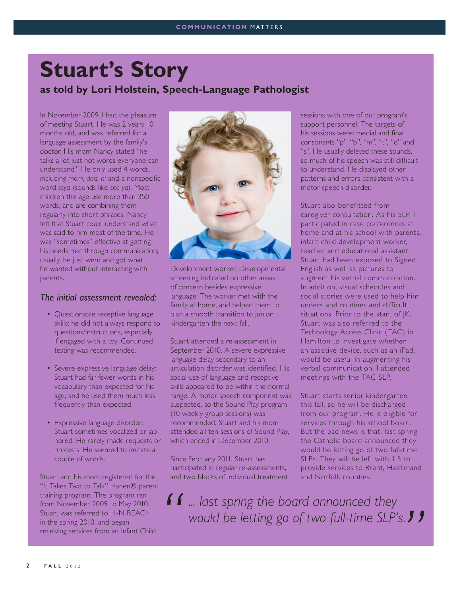## **Stuart's Story as told by Lori Holstein, Speech-Language Pathologist**

In November 2009, I had the pleasure of meeting Stuart. He was 2 years 10 months old, and was referred for a language assessment by the family's doctor. His mom Nancy stated "he talks a lot just not words everyone can understand." He only used 4 words, including *mom*, *dad, hi* and a nonspecific word *ssya* (sounds like *see ya*). Most children this age use more than 350 words, and are combining them regularly into short phrases. Nancy felt that Stuart could understand what was said to him most of the time. He was "sometimes" effective at getting his needs met through communication; usually, he just went and got what he wanted without interacting with parents.

#### *The initial assessment revealed:*

- Questionable receptive language skills: he did not always respond to questions/instructions, especially if engaged with a toy. Continued testing was recommended.
- Severe expressive language delay: Stuart had far fewer words in his vocabulary than expected for his age, and he used them much less frequently than expected.
- Expressive language disorder: Stuart sometimes vocalized or jabbered. He rarely made requests or protests. He seemed to imitate a couple of words.

Stuart and his mom registered for the "It Takes Two to Talk" Hanen® parent training program. The program ran from November 2009 to May 2010. Stuart was referred to H-N REACH in the spring 2010, and began receiving services from an Infant Child



Development worker. Developmental screening indicated no other areas of concern besides expressive language. The worker met with the family at home, and helped them to plan a smooth transition to junior kindergarten the next fall.

Stuart attended a re-assessment in September 2010. A severe expressive language delay secondary to an articulation disorder was identified. His social use of language and receptive skills appeared to be within the normal range. A motor speech component was suspected, so the Sound Play program (10 weekly group sessions) was recommended. Stuart and his mom attended all ten sessions of Sound Play, which ended in December 2010.

Since February 2011, Stuart has participated in regular re-assessments, and two blocks of individual treatment sessions with one of our program's support personnel. The targets of his sessions were: medial and final consonants "p", "b", "m", "t", "d" and "s". He usually deleted these sounds, so much of his speech was still difficult to understand. He displayed other patterns and errors consistent with a motor speech disorder.

Stuart also benefitted from caregiver consultation. As his SLP, I participated in case conferences at home and at his school with parents, infant child development worker, teacher and educational assistant. Stuart had been exposed to Signed English as well as pictures to augment his verbal communication. In addition, visual schedules and social stories were used to help him understand routines and difficult situations. Prior to the start of JK, Stuart was also referred to the Technology Access Clinic (TAC) in Hamilton to investigate whether an assistive device, such as an iPad, would be useful in augmenting his verbal communication. I attended meetings with the TAC SLP.

Stuart starts senior kindergarten this fall, so he will be discharged from our program. He is eligible for services through his school board. But the bad news is that, last spring the Catholic board announced they would be letting go of two full-time SLPs. They will be left with 1.5 to provide services to Brant, Haldimand and Norfolk counties.

*... last spring the board announced they would be letting go of two full-time SLP's.*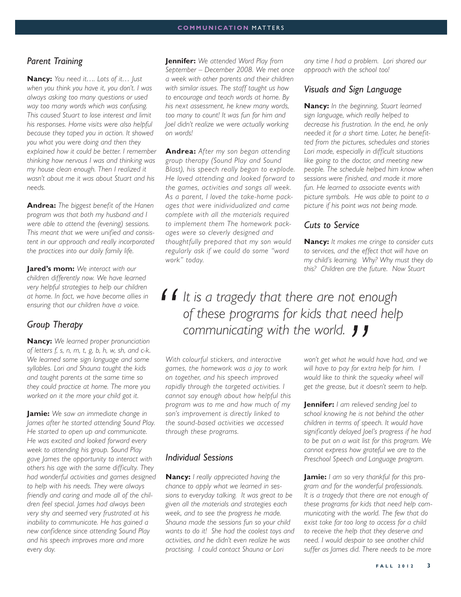#### *Parent Training*

**Nancy:** *You need it…. Lots of it… Just when you think you have it, you don't. I was always asking too many questions or used way too many words which was confusing. This caused Stuart to lose interest and limit his responses. Home visits were also helpful because they taped you in action. It showed you what you were doing and then they explained how it could be better. I remember thinking how nervous I was and thinking was my house clean enough. Then I realized it wasn't about me it was about Stuart and his needs.* 

**Andrea:** *The biggest benefit of the Hanen program was that both my husband and I were able to attend the (evening) sessions. This meant that we were unified and consistent in our approach and really incorporated the practices into our daily family life.* 

**Jared's mom:** *We interact with our children differently now. We have learned very helpful strategies to help our children at home. In fact, we have become allies in ensuring that our children have a voice.* 

#### *Group Therapy*

**Nancy:** *We learned proper pronunciation of letters f, s, n, m, t, g, b, h, w, sh, and c-k. We learned some sign language and some syllables. Lori and Shauna taught the kids and taught parents at the same time so they could practice at home. The more you worked on it the more your child got it.*

**Jamie:** *We saw an immediate change in James after he started attending Sound Play. He started to open up and communicate. He was excited and looked forward every week to attending his group. Sound Play gave James the opportunity to interact with others his age with the same difficulty. They had wonderful activities and games designed to help with his needs. They were always friendly and caring and made all of the children feel special. James had always been very shy and seemed very frustrated at his inability to communicate. He has gained a new confidence since attending Sound Play and his speech improves more and more every day.* 

**Jennifer:** *We attended Word Play from September – December 2008. We met once a week with other parents and their children with similar issues. The staff taught us how to encourage and teach words at home. By his next assessment, he knew many words, too many to count! It was fun for him and Joel didn't realize we were actually working on words!*

**Andrea:** *After my son began attending group therapy (Sound Play and Sound Blast), his speech really began to explode. He loved attending and looked forward to the games, activities and songs all week. As a parent, I loved the take-home packages that were inidividualized and came complete with all the materials required to implement them The homework packages were so cleverly designed and thoughtfully prepared that my son would regularly ask if we could do some "word work" today.* 

*any time I had a problem. Lori shared our approach with the school too!*

#### *Visuals and Sign Language*

**Nancy:** *In the beginning, Stuart learned sign language, which really helped to decrease his frustration. In the end, he only needed it for a short time. Later, he benefitted from the pictures, schedules and stories Lori made, especially in difficult situations like going to the doctor, and meeting new people. The schedule helped him know when sessions were finished, and made it more fun. He learned to associate events with picture symbols. He was able to point to a picture if his point was not being made.*

#### *Cuts to Service*

**Nancy:** *It makes me cringe to consider cuts to services, and the effect that will have on my child's learning. Why? Why must they do this? Children are the future. Now Stuart* 

### *It is a tragedy that there are not enough of these programs for kids that need help communicating with the world.*

*With colourful stickers, and interactive games, the homework was a joy to work on together, and his speech improved rapidly through the targeted activities. I cannot say enough about how helpful this program was to me and how much of my son's improvement is directly linked to the sound-based activities we accessed through these programs.* 

#### *Individual Sessions*

**Nancy:** *I really appreciated having the chance to apply what we learned in sessions to everyday talking. It was great to be given all the materials and strategies each week, and to see the progress he made. Shauna made the sessions fun so your child wants to do it! She had the coolest toys and activities, and he didn't even realize he was practising. I could contact Shauna or Lori* 

*won't get what he would have had, and we will have to pay for extra help for him. I would like to think the squeaky wheel will get the grease, but it doesn't seem to help.* 

**Jennifer:** *I am relieved sending Joel to school knowing he is not behind the other children in terms of speech. It would have significantly delayed Joel's progress if he had to be put on a wait list for this program. We cannot express how grateful we are to the Preschool Speech and Language program.* 

**Jamie:** *I am so very thankful for this program and for the wonderful professionals. It is a tragedy that there are not enough of these programs for kids that need help communicating with the world. The few that do exist take far too long to access for a child to receive the help that they deserve and need. I would despair to see another child suffer as James did. There needs to be more*